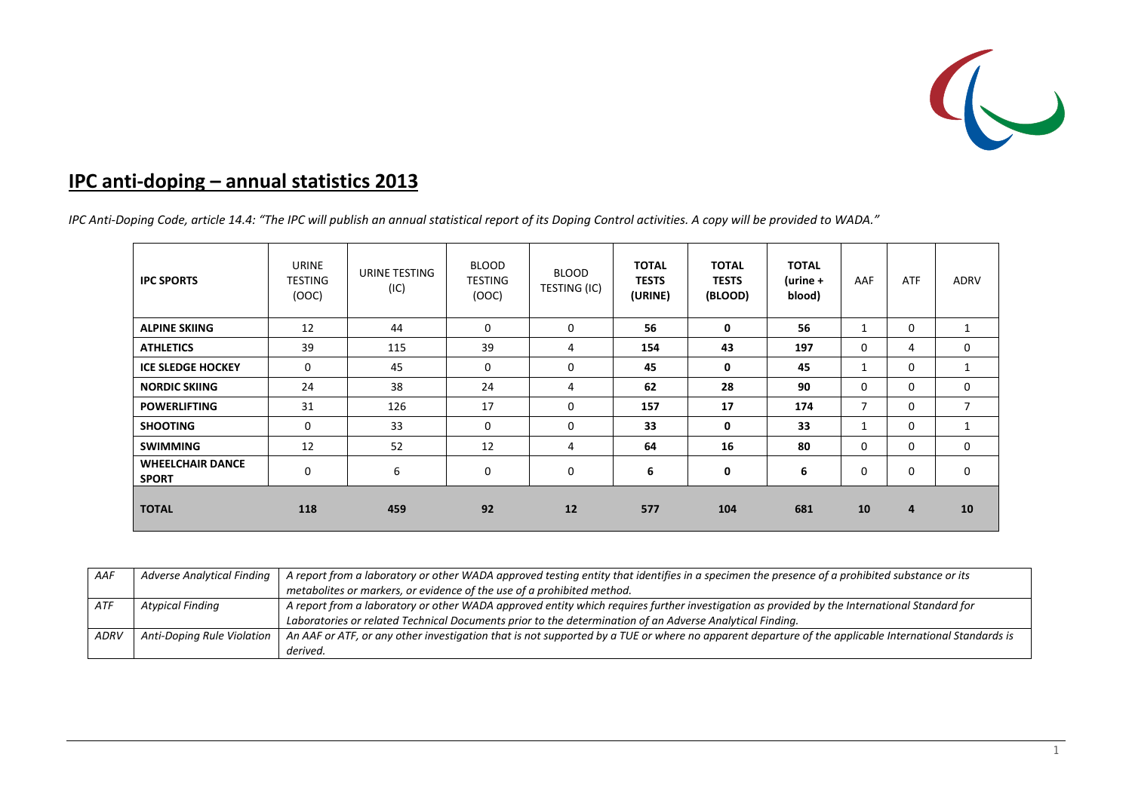

## **IPC anti‐doping – annual statistics 2013**

IPC Anti-Doping Code, article 14.4: "The IPC will publish an annual statistical report of its Doping Control activities. A copy will be provided to WADA."

| <b>IPC SPORTS</b>                       | <b>URINE</b><br><b>TESTING</b><br>(OOC) | URINE TESTING<br>(IC) | <b>BLOOD</b><br><b>TESTING</b><br>(OOC) | <b>BLOOD</b><br>TESTING (IC) | <b>TOTAL</b><br><b>TESTS</b><br>(URINE) | <b>TOTAL</b><br><b>TESTS</b><br>(BLOOD) | <b>TOTAL</b><br>$($ urine +<br>blood) | AAF      | <b>ATF</b>  | <b>ADRV</b>  |
|-----------------------------------------|-----------------------------------------|-----------------------|-----------------------------------------|------------------------------|-----------------------------------------|-----------------------------------------|---------------------------------------|----------|-------------|--------------|
| <b>ALPINE SKIING</b>                    | 12                                      | 44                    | $\mathbf 0$                             | 0                            | 56                                      | 0                                       | 56                                    | 1        | $\mathbf 0$ |              |
| <b>ATHLETICS</b>                        | 39                                      | 115                   | 39                                      | 4                            | 154                                     | 43                                      | 197                                   | 0        | 4           | $\mathbf 0$  |
| <b>ICE SLEDGE HOCKEY</b>                | $\Omega$                                | 45                    | $\mathbf 0$                             | 0                            | 45                                      | 0                                       | 45                                    | 1        | 0           |              |
| <b>NORDIC SKIING</b>                    | 24                                      | 38                    | 24                                      | 4                            | 62                                      | 28                                      | 90                                    | 0        | 0           | $\mathbf{0}$ |
| <b>POWERLIFTING</b>                     | 31                                      | 126                   | 17                                      | 0                            | 157                                     | 17                                      | 174                                   | 7        | 0           | 7            |
| <b>SHOOTING</b>                         | $\mathbf 0$                             | 33                    | $\mathbf 0$                             | 0                            | 33                                      | 0                                       | 33                                    | 1        | $\mathbf 0$ |              |
| <b>SWIMMING</b>                         | 12                                      | 52                    | 12                                      | 4                            | 64                                      | 16                                      | 80                                    | 0        | $\mathbf 0$ | $\mathbf 0$  |
| <b>WHEELCHAIR DANCE</b><br><b>SPORT</b> | $\Omega$                                | 6                     | $\mathbf 0$                             | 0                            | 6                                       | 0                                       | 6                                     | $\Omega$ | $\mathbf 0$ | $\mathbf{0}$ |
| <b>TOTAL</b>                            | 118                                     | 459                   | 92                                      | 12                           | 577                                     | 104                                     | 681                                   | 10       | 4           | 10           |

| AAF  | <b>Adverse Analytical Finding</b> | A report from a laboratory or other WADA approved testing entity that identifies in a specimen the presence of a prohibited substance or its         |
|------|-----------------------------------|------------------------------------------------------------------------------------------------------------------------------------------------------|
|      |                                   | metabolites or markers, or evidence of the use of a prohibited method.                                                                               |
| ATF  | <b>Atypical Finding</b>           | A report from a laboratory or other WADA approved entity which requires further investigation as provided by the International Standard for          |
|      |                                   | Laboratories or related Technical Documents prior to the determination of an Adverse Analytical Finding.                                             |
| ADRV | Anti-Doping Rule Violation        | An AAF or ATF, or any other investigation that is not supported by a TUE or where no apparent departure of the applicable International Standards is |
|      |                                   | derived.                                                                                                                                             |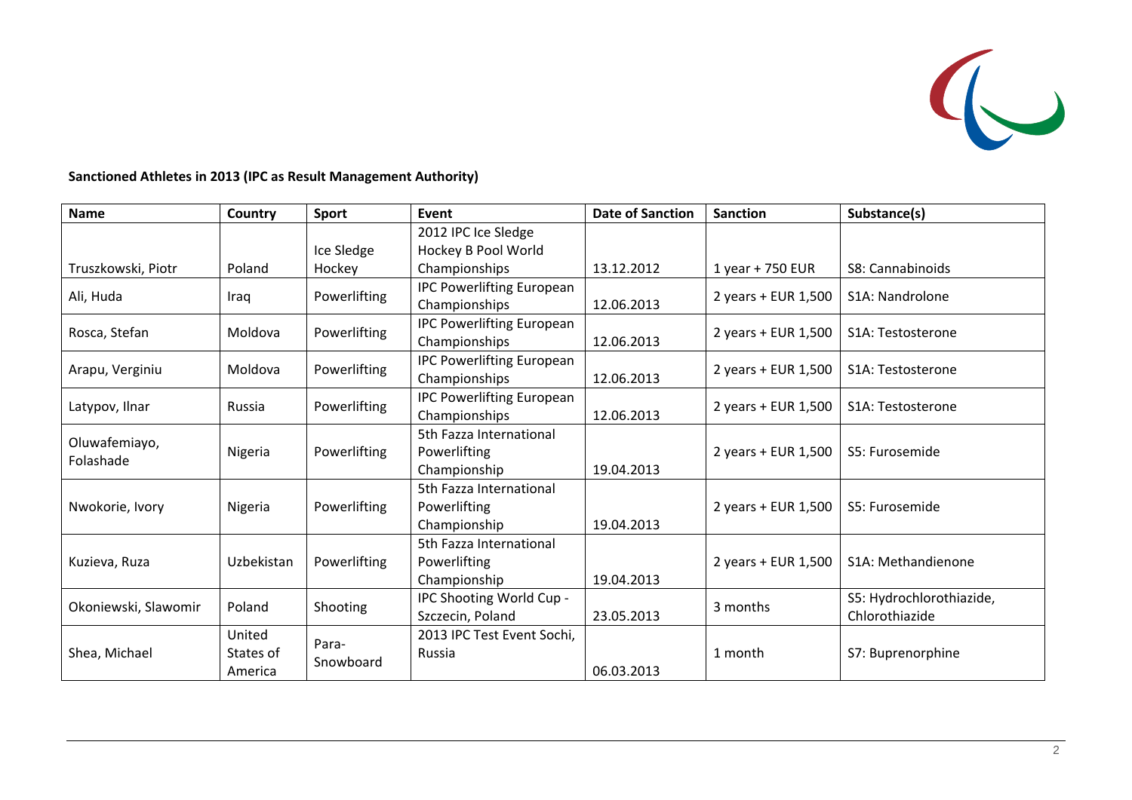

**Sanctioned Athletes in 2013 (IPC as Result Management Authority)**

| <b>Name</b>                | Country                        | <b>Sport</b>       | Event                                                           | <b>Date of Sanction</b>           | <b>Sanction</b>     | Substance(s)                               |  |
|----------------------------|--------------------------------|--------------------|-----------------------------------------------------------------|-----------------------------------|---------------------|--------------------------------------------|--|
|                            |                                |                    | 2012 IPC Ice Sledge                                             |                                   |                     |                                            |  |
|                            |                                | Ice Sledge         | Hockey B Pool World                                             |                                   |                     |                                            |  |
| Truszkowski, Piotr         | Poland                         | Hockey             | Championships                                                   | 13.12.2012                        | 1 year + 750 EUR    | S8: Cannabinoids                           |  |
| Ali, Huda                  | Iraq                           | Powerlifting       | <b>IPC Powerlifting European</b><br>Championships<br>12.06.2013 |                                   | 2 years + EUR 1,500 | S <sub>1</sub> A: Nandrolone               |  |
| Rosca, Stefan              | Moldova                        | Powerlifting       | <b>IPC Powerlifting European</b><br>Championships               | 2 years + EUR 1,500<br>12.06.2013 |                     | S1A: Testosterone                          |  |
| Arapu, Verginiu            | Moldova                        | Powerlifting       | <b>IPC Powerlifting European</b><br>Championships               | 12.06.2013                        | 2 years + EUR 1,500 | S <sub>1</sub> A: Testosterone             |  |
| Latypov, Ilnar             | Russia                         | Powerlifting       | <b>IPC Powerlifting European</b><br>Championships               | 12.06.2013                        | 2 years + EUR 1,500 | S <sub>1</sub> A: Testosterone             |  |
| Oluwafemiayo,<br>Folashade | Nigeria                        | Powerlifting       | 5th Fazza International<br>Powerlifting<br>Championship         | 19.04.2013                        | 2 years + EUR 1,500 | S5: Furosemide                             |  |
| Nwokorie, Ivory            | Nigeria                        | Powerlifting       | 5th Fazza International<br>Powerlifting<br>Championship         | 19.04.2013                        | 2 years + EUR 1,500 | S5: Furosemide                             |  |
| Kuzieva, Ruza              | Uzbekistan                     | Powerlifting       | 5th Fazza International<br>Powerlifting<br>Championship         | 19.04.2013                        | 2 years + EUR 1,500 | S1A: Methandienone                         |  |
| Okoniewski, Slawomir       | Poland                         | Shooting           | IPC Shooting World Cup -<br>Szczecin, Poland                    | 23.05.2013                        | 3 months            | S5: Hydrochlorothiazide,<br>Chlorothiazide |  |
| Shea, Michael              | United<br>States of<br>America | Para-<br>Snowboard | 2013 IPC Test Event Sochi,<br>Russia                            | 06.03.2013                        | 1 month             | S7: Buprenorphine                          |  |